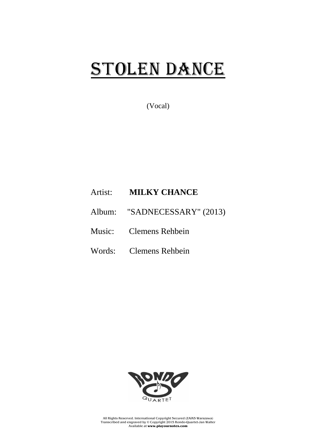## STOLEN DANCE

(Vocal)

## Artist: **MILKY CHANCE**

- Album: "SADNECESSARY" (2013)
- Music: Clemens Rehbein
- Words: Clemens Rehbein



All Rights Reserved. International Copyright Secured (ZAiKS Warszawa) Transcribed and engraved by © Copyright 2015 Rondo-Quartet-Jan Walter Available at **www.playournotes.com**